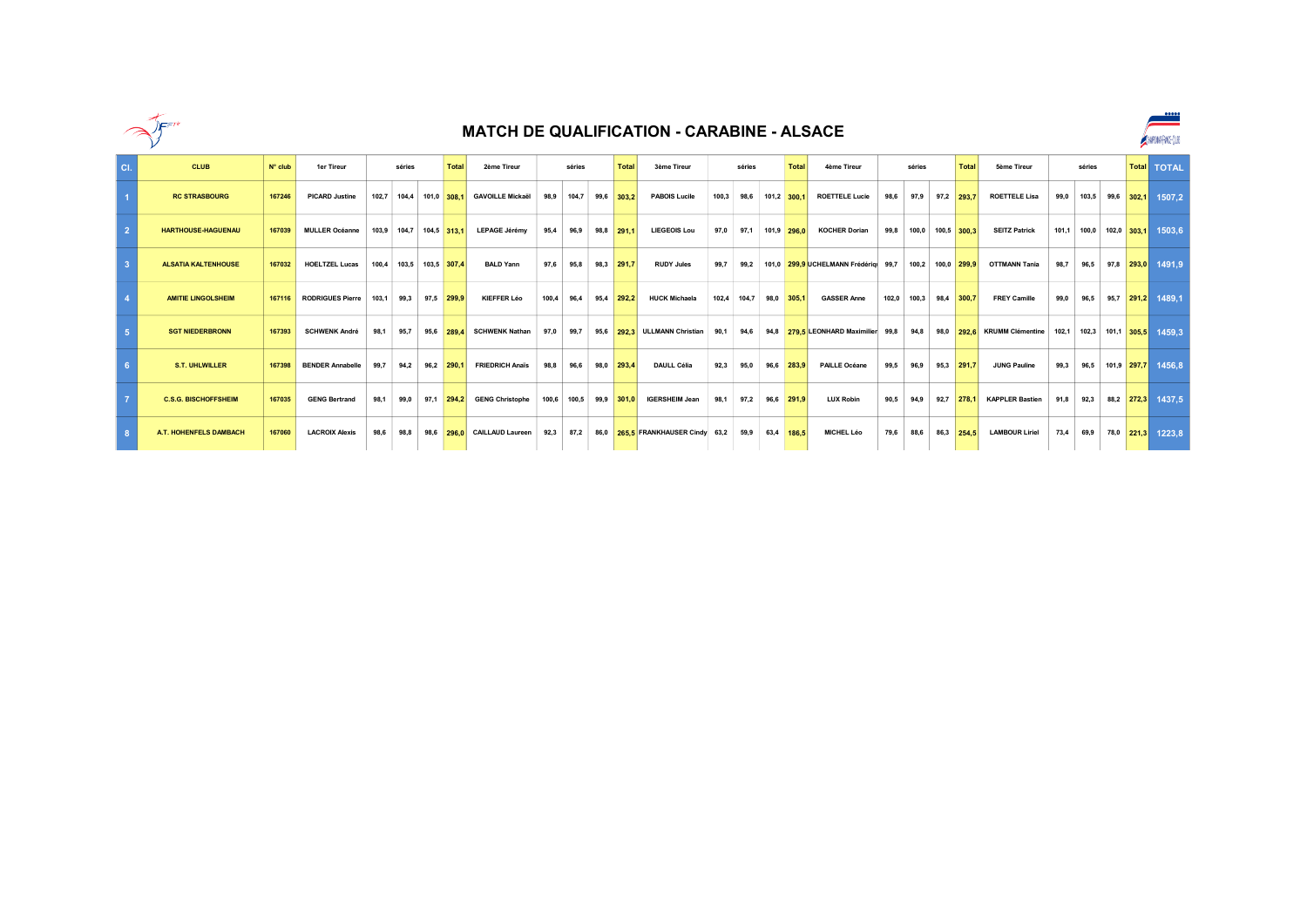

|     |                               |                  |                         |       |                         |                   |                             |       |             |      |              | <b>MATCH DE QUALIFICATION - CARABINE - ALSACE</b> |       |        |      |                  |                                      |      |                        |      |             |                                  |       |                   |                  |              | $\bullet \bullet \bullet \bullet \bullet$<br>ANPONT-MO-(US |
|-----|-------------------------------|------------------|-------------------------|-------|-------------------------|-------------------|-----------------------------|-------|-------------|------|--------------|---------------------------------------------------|-------|--------|------|------------------|--------------------------------------|------|------------------------|------|-------------|----------------------------------|-------|-------------------|------------------|--------------|------------------------------------------------------------|
| CI. | <b>CLUB</b>                   | $N^{\circ}$ club | <b>1er Tireur</b>       |       | séries                  | Total             | 2ème Tireur                 |       | séries      |      | Total        | 3ème Tireur                                       |       | séries |      | <b>Total</b>     | <b>4ème Tireur</b>                   |      | séries                 |      | Total       | <b>5ème Tireur</b>               |       | séries            |                  | <b>Total</b> | <b>TOTAL</b>                                               |
|     | <b>RC STRASBOURG</b>          | 167246           | <b>PICARD Justine</b>   |       | 102,7 104,4 101,0 308,1 |                   | <b>GAVOILLE Mickaël</b>     | 98.9  | 104.7       |      | 99,6 303,2   | <b>PABOIS Lucile</b>                              | 100.3 |        |      | 98,6 101,2 300,1 | <b>ROETTELE Lucie</b>                | 98.6 | 97.9                   |      | 97,2 293,7  | <b>ROETTELE Lisa</b>             | 99.0  |                   | 103,5 99,6 302,1 |              | 1507.2                                                     |
|     | <b>HARTHOUSE-HAGUENAU</b>     | 167039           | <b>MULLER Océanne</b>   | 103.9 |                         | 104.7 104.5 313.1 | LEPAGE Jérémy               | 95.4  | 96.9        | 98.8 | 291.         | <b>LIEGEOIS Lou</b>                               | 97.0  | 97.1   |      | 101.9 296.0      | <b>KOCHER Dorian</b>                 | 99.8 | 100.0                  |      | 100.5 300.3 | <b>SEITZ Patrick</b>             | 101.1 | 100.0 102.0 303.1 |                  |              | 1503.6                                                     |
|     | <b>ALSATIA KALTENHOUSE</b>    | 167032           | <b>HOELTZEL Lucas</b>   |       | 100.4 103.5             | 103,5 307,4       | <b>BALD Yann</b>            | 97.6  | 95.8        | 98.3 | 291.7        | <b>RUDY Jules</b>                                 | 99.7  | 99.2   |      |                  | 101.0 299.9 UCHELMANN Frédérigi 99.7 |      | 100.2 100.0            |      | 299.9       | <b>OTTMANN Tanja</b>             | 98.7  | 96,5              |                  | $97,8$ 293,0 | 1491.9                                                     |
|     | <b>AMITIE LINGOLSHEIM</b>     | 167116           | <b>RODRIGUES Pierre</b> | 103.1 | 99.3                    | 97.5 299.9        | KIEFFER Léo                 | 100.4 | 96.4        | 95.4 | 292.2        | <b>HUCK Michaela</b>                              | 102.4 | 104.7  | 98.0 | 305.1            | <b>GASSER Anne</b>                   |      | 102.0 100.3 98.4 300.7 |      |             | <b>FREY Camille</b>              | 99.0  | 96.5              |                  | $95,7$ 291,2 | 1489.1                                                     |
|     | <b>SGT NIEDERBRONN</b>        | 167393           | <b>SCHWENK André</b>    | 98.1  | 95.7                    | 95.6 289.4        | <b>SCHWENK Nathan</b>       | 97.0  | 99.7        |      |              | 95,6 292,3 ULLMANN Christian                      | 90.1  | 94.6   |      |                  | 94.8 279.5 LEONHARD Maximilier 99.8  |      |                        |      |             | 94,8 98,0 292,6 KRUMM Clémentine | 102.1 | 102.3 101.1 305.5 |                  |              | 1459.3                                                     |
|     | <b>S.T. UHLWILLER</b>         | 167398           | <b>BENDER Annabelle</b> | 99.7  | 94.2                    | 96.2 290.1        | <b>FRIEDRICH Anaïs</b>      | 98.8  | 96.6        | 98.0 | 293.4        | <b>DAULL Célia</b>                                | 92.3  | 95.0   | 96.6 | 283.9            | PAILLE Océane                        | 99.5 | 96.9                   |      | 95.3 291.7  | <b>JUNG Pauline</b>              | 99.3  | 96.5              |                  | 101.9 297.7  | 1456.8                                                     |
|     | <b>C.S.G. BISCHOFFSHEIM</b>   | 167035           | <b>GENG Bertrand</b>    | 98.1  | 99.0                    |                   | 97,1 294.2 GENG Christophe  |       | 100.6 100.5 |      | $99.9$ 301.0 | <b>IGERSHEIM Jean</b>                             | 98.1  | 97.2   | 96.6 | 291.9            | <b>LUX Robin</b>                     | 90.5 | 94.9                   | 92.7 | 278.1       | <b>KAPPLER Bastien</b>           | 91.8  | 92.3              |                  | 88,2 272.3   | 1437.5                                                     |
|     | <b>A.T. HOHENFELS DAMBACH</b> | 167060           | <b>LACROIX Alexis</b>   | 98.6  | 98.8                    |                   | 98,6 296.0 CAILLAUD Laureen |       | 92,3 87,2   |      |              | 86.0 265.5 FRANKHAUSER Cindy 63.2                 |       | 59.9   |      | 63.4 186.5       | MICHEL Léo                           | 79.6 | 88.6                   |      | 86.3 254.5  | <b>LAMBOUR Liriel</b>            | 73.4  | 69.9              |                  | 78,0 221.3   | 1223.8                                                     |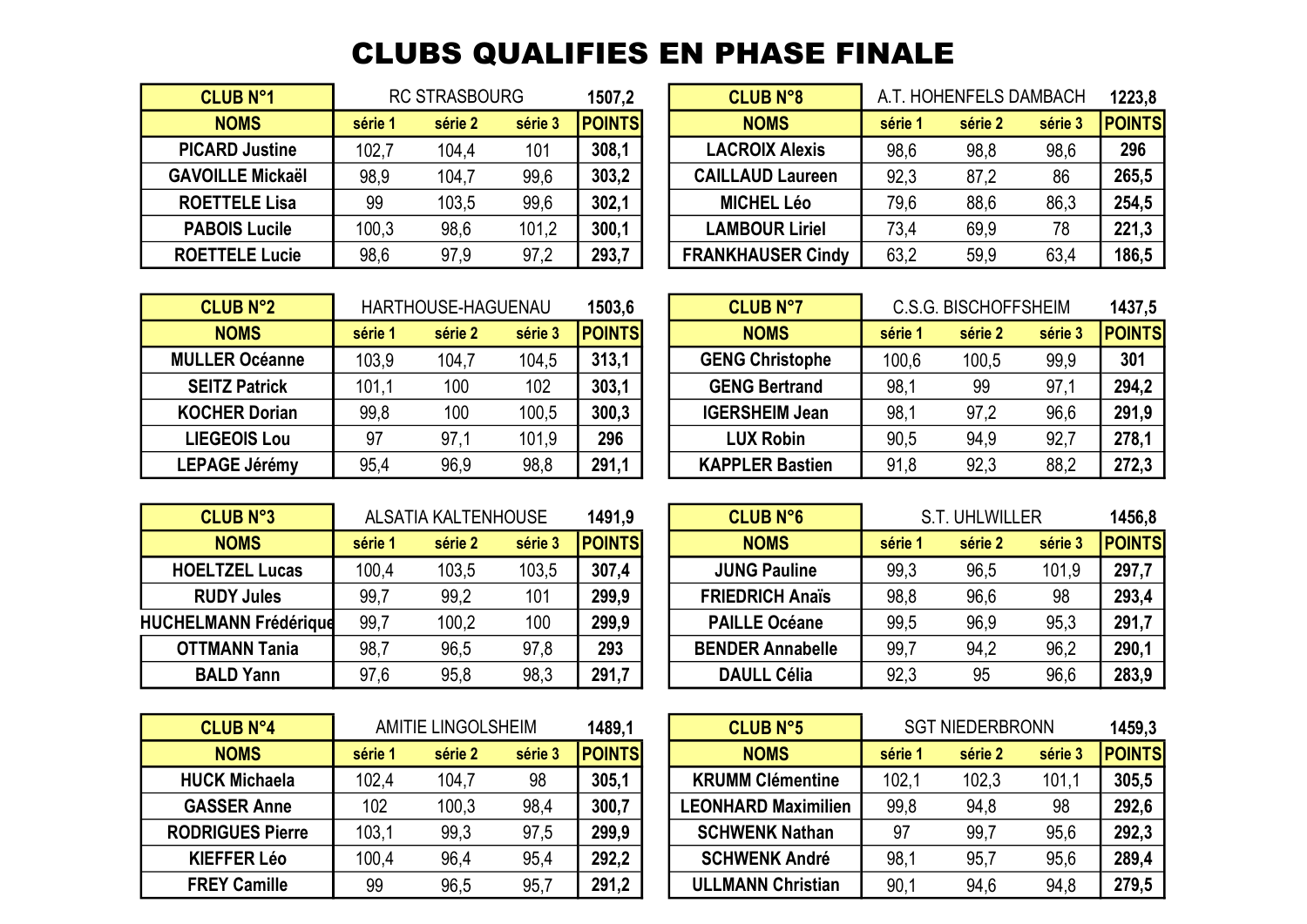## CLUBS QUALIFIES EN PHASE FINALE

| <b>CLUB N°1</b>         |         | <b>RC STRASBOURG</b> |         | 1507,2        |
|-------------------------|---------|----------------------|---------|---------------|
| <b>NOMS</b>             | série 1 | série 2              | série 3 | <b>POINTS</b> |
| <b>PICARD Justine</b>   | 102,7   | 104,4                | 101     | 308,1         |
| <b>GAVOILLE Mickaël</b> | 98,9    | 104,7                | 99,6    | 303,2         |
| <b>ROETTELE Lisa</b>    | 99      | 103,5                | 99,6    | 302,1         |
| <b>PABOIS Lucile</b>    | 100,3   | 98,6                 | 101,2   | 300,1         |
| <b>ROETTELE Lucie</b>   | 98,6    | 97.9                 | 97,2    | 293,7         |

| <b>CLUB N°1</b>         |         | <b>RC STRASBOURG</b> |         | 1507,2        | <b>CLUB N°8</b>          |         | A.T. HOHENFELS DAMBACH |         | 1223,8        |
|-------------------------|---------|----------------------|---------|---------------|--------------------------|---------|------------------------|---------|---------------|
| <b>NOMS</b>             | série 1 | série 2              | série 3 | <b>POINTS</b> | <b>NOMS</b>              | série 1 | série 2                | série 3 | <b>POINTS</b> |
| <b>PICARD Justine</b>   | 102,7   | 104,4                | 101     | 308,1         | <b>LACROIX Alexis</b>    | 98,6    | 98,8                   | 98,6    | 296           |
| <b>GAVOILLE Mickaël</b> | 98,9    | 104,7                | 99,6    | 303,2         | <b>CAILLAUD Laureen</b>  | 92,3    | 87,2                   | 86      | 265,5         |
| <b>ROETTELE Lisa</b>    | 99      | 103,5                | 99,6    | 302.1         | <b>MICHEL Léo</b>        | 79,6    | 88,6                   | 86,3    | 254,5         |
| <b>PABOIS Lucile</b>    | 100,3   | 98,6                 | 101,2   | 300,1         | <b>LAMBOUR Liriel</b>    | 73.4    | 69,9                   | 78      | 221,3         |
| <b>ROETTELE Lucie</b>   | 98.6    | 97,9                 | 97,2    | 293,7         | <b>FRANKHAUSER Cindy</b> | 63,2    | 59,9                   | 63,4    | 186,5         |

| <b>CLUB N°2</b>       |         | HARTHOUSE-HAGUENAU |         | 1503,6        | <b>CLUB N°7</b>        |         | <b>C.S.G. BISCHOFFSHEIM</b> |         | 1437,        |
|-----------------------|---------|--------------------|---------|---------------|------------------------|---------|-----------------------------|---------|--------------|
| <b>NOMS</b>           | série 1 | série 2            | série 3 | <b>POINTS</b> | <b>NOMS</b>            | série 1 | série 2                     | série 3 | <b>POINT</b> |
| <b>MULLER Océanne</b> | 103,9   | 104,7              | 104,5   | 313.1         | <b>GENG Christophe</b> | 100,6   | 100,5                       | 99.9    | 301          |
| <b>SEITZ Patrick</b>  | 101,1   | 100                | 102     | 303.1         | <b>GENG Bertrand</b>   | 98,1    | 99                          | 97,1    | 294,2        |
| <b>KOCHER Dorian</b>  | 99,8    | 100                | 100,5   | 300,3         | <b>IGERSHEIM Jean</b>  | 98.7    | 97,2                        | 96,6    | 291,9        |
| <b>LIEGEOIS Lou</b>   | 97      | 97,1               | 101,9   | 296           | <b>LUX Robin</b>       | 90,5    | 94,9                        | 92,7    | 278.7        |
| <b>LEPAGE Jérémy</b>  | 95.4    | 96,9               | 98,8    | 291,1         | <b>KAPPLER Bastien</b> | 91,8    | 92,3                        | 88,2    | 272,3        |

| <b>CLUB N°2</b>       |         | HARTHOUSE-HAGUENAU |         | 1503.6        | <b>CLUB N°7</b>        |         | <b>C.S.G. BISCHOFFSHEIM</b> |         | 1437,5        |
|-----------------------|---------|--------------------|---------|---------------|------------------------|---------|-----------------------------|---------|---------------|
| <b>NOMS</b>           | série 1 | série 2            | série 3 | <b>POINTS</b> | <b>NOMS</b>            | série ' | série 2                     | série 3 | <b>POINTS</b> |
| <b>MULLER Océanne</b> | 103,9   | 104,7              | 104,5   | 313.1         | <b>GENG Christophe</b> | 100,6   | 100,5                       | 99,9    | 301           |
| <b>SEITZ Patrick</b>  | 101.1   | 100                | 102     | 303,1         | <b>GENG Bertrand</b>   | 98,1    | 99                          | 97,1    | 294,2         |
| <b>KOCHER Dorian</b>  | 99,8    | 100                | 100,5   | 300,3         | <b>IGERSHEIM Jean</b>  | 98,1    | 97,2                        | 96,6    | 291,9         |
| <b>LIEGEOIS Lou</b>   | 97      | 97,1               | 101,9   | 296           | <b>LUX Robin</b>       | 90,5    | 94,9                        | 92,7    | 278,1         |
| <b>LEPAGE Jérémy</b>  | 95,4    | 96,9               | 98,8    | 291,1         | <b>KAPPLER Bastien</b> | 91,8    | 92,3                        | 88,2    | 272,3         |

| <b>CLUB N°3</b>              |         | ALSATIA KALTENHOUSE |         | 1491,9        | <b>CLUB N°6</b>         |         | <b>S.T. UHLWILLER</b> |         | 1456,8       |
|------------------------------|---------|---------------------|---------|---------------|-------------------------|---------|-----------------------|---------|--------------|
| <b>NOMS</b>                  | série 1 | série 2             | série 3 | <b>POINTS</b> | <b>NOMS</b>             | série 1 | série 2               | série 3 | <b>POINT</b> |
| <b>HOELTZEL Lucas</b>        | 100,4   | 103,5               | 103,5   | 307,4         | <b>JUNG Pauline</b>     | 99,3    | 96,5                  | 101,9   | 297,7        |
| <b>RUDY Jules</b>            | 99,7    | 99,2                | 101     | 299,9         | <b>FRIEDRICH Anaïs</b>  | 98,8    | 96,6                  | 98      | 293,4        |
| <b>HUCHELMANN Frédérique</b> | 99,7    | 100,2               | 100     | 299,9         | <b>PAILLE Océane</b>    | 99,5    | 96,9                  | 95,3    | 291,7        |
| <b>OTTMANN Tania</b>         | 98,7    | 96,5                | 97,8    | 293           | <b>BENDER Annabelle</b> | 99,7    | 94,2                  | 96,2    | 290,1        |
| <b>BALD Yann</b>             | 97,6    | 95,8                | 98,3    | 291,7         | <b>DAULL Célia</b>      | 92,3    | 95                    | 96,6    | 283,9        |

| <b>CLUB N°3</b>           |         | <b>ALSATIA KALTENHOUSE</b> |         | 1491,9        | <b>CLUB N°6</b>         |         | <b>S.T. UHLWILLER</b> |         | 1456,8        |
|---------------------------|---------|----------------------------|---------|---------------|-------------------------|---------|-----------------------|---------|---------------|
| <b>NOMS</b>               | série 1 | série 2                    | série 3 | <b>POINTS</b> | <b>NOMS</b>             | série : | série 2               | série 3 | <b>POINTS</b> |
| <b>HOELTZEL Lucas</b>     | 100,4   | 103,5                      | 103,5   | 307,4         | <b>JUNG Pauline</b>     | 99,3    | 96,5                  | 101,9   | 297,7         |
| <b>RUDY Jules</b>         | 99,7    | 99,2                       | 101     | 299,9         | <b>FRIEDRICH Anaïs</b>  | 98,8    | 96,6                  | 98      | 293,4         |
| <b>HELMANN Frédérique</b> | 99,7    | 100,2                      | 100     | 299,9         | <b>PAILLE Océane</b>    | 99,5    | 96,9                  | 95,3    | 291,7         |
| <b>OTTMANN Tania</b>      | 98,7    | 96,5                       | 97,8    | 293           | <b>BENDER Annabelle</b> | 99,7    | 94,2                  | 96,2    | 290,1         |
| <b>BALD Yann</b>          | 97,6    | 95,8                       | 98,3    | 291,7         | <b>DAULL Célia</b>      | 92,3    | 95                    | 96,6    | 283,9         |

| <b>CLUB N°4</b>         |         | <b>AMITIE LINGOLSHEIM</b> |         | 1489,1        |
|-------------------------|---------|---------------------------|---------|---------------|
| <b>NOMS</b>             | série 1 | série 2                   | série 3 | <b>POINTS</b> |
| <b>HUCK Michaela</b>    | 102,4   | 104,7                     | 98      | 305,1         |
| <b>GASSER Anne</b>      | 102     | 100,3                     | 98,4    | 300,7         |
| <b>RODRIGUES Pierre</b> | 103,1   | 99,3                      | 97,5    | 299,9         |
| <b>KIEFFER Léo</b>      | 100,4   | 96,4                      | 95,4    | 292,2         |
| <b>FREY Camille</b>     | 99      | 96,5                      | 95,7    | 291,2         |

| <b>CLUB N°4</b>         |         | AMITIE LINGOLSHEIM |         | 1489.1        | <b>CLUB N°5</b>            |         | <b>SGT NIEDERBRONN</b> |         | 1459.3        |
|-------------------------|---------|--------------------|---------|---------------|----------------------------|---------|------------------------|---------|---------------|
| <b>NOMS</b>             | série 1 | série 2            | série 3 | <b>POINTS</b> | <b>NOMS</b>                | série ' | série 2                | série 3 | <b>POINTS</b> |
| <b>HUCK Michaela</b>    | 102,4   | 104,7              | 98      | 305,1         | <b>KRUMM Clémentine</b>    | 102.1   | 102,3                  | 101.1   | 305,5         |
| <b>GASSER Anne</b>      | 102     | 100,3              | 98,4    | 300,7         | <b>LEONHARD Maximilien</b> | 99,8    | 94,8                   | 98      | 292,6         |
| <b>RODRIGUES Pierre</b> | 103,1   | 99,3               | 97,5    | 299,9         | <b>SCHWENK Nathan</b>      | -97     | 99,7                   | 95,6    | 292,3         |
| <b>KIEFFER Léo</b>      | 100.4   | 96,4               | 95,4    | 292,2         | <b>SCHWENK André</b>       | 98.     | 95,7                   | 95,6    | 289,4         |
| <b>FREY Camille</b>     | 99      | 96,5               | 95,7    | 291,2         | <b>ULLMANN Christian</b>   | 90,1    | 94,6                   | 94,8    | 279,5         |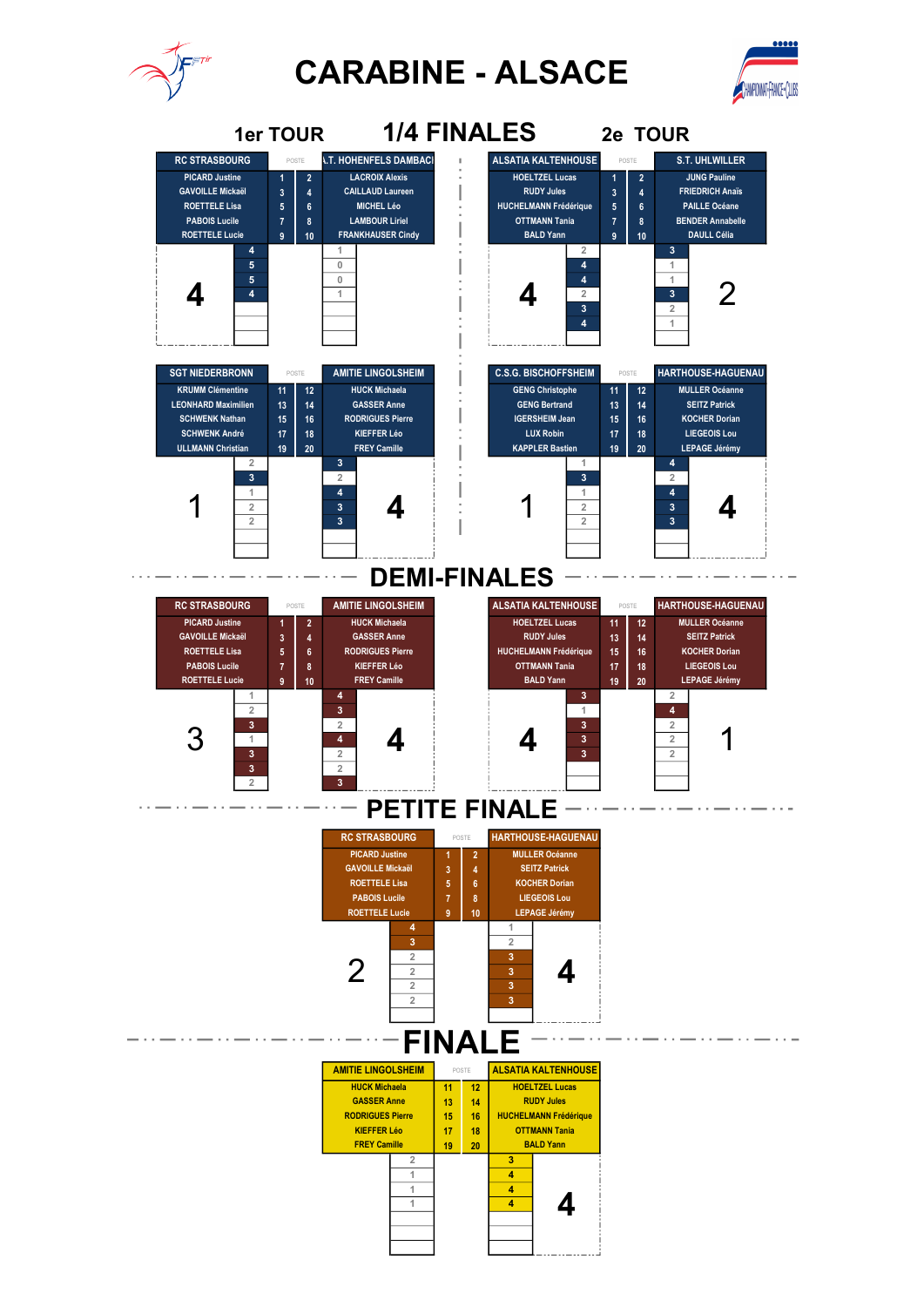